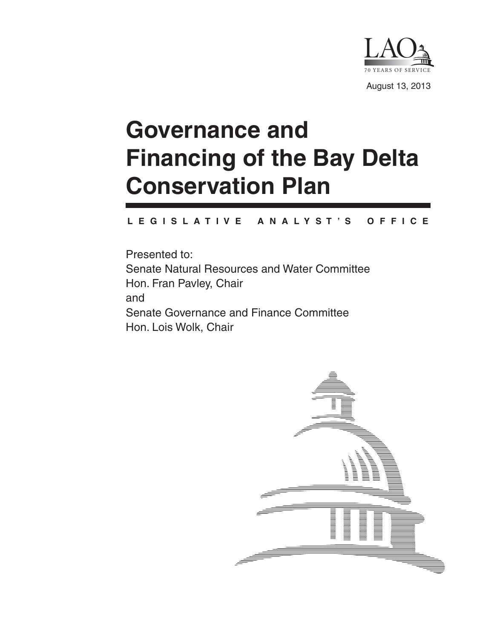

# **Governance and Financing of the Bay Delta Conservation Plan**

#### **L E G I S L A T I V E A N A L Y S T ' S O F F I C E**

Presented to: Senate Natural Resources and Water Committee Hon. Fran Pavley, Chair and Senate Governance and Finance Committee Hon. Lois Wolk, Chair

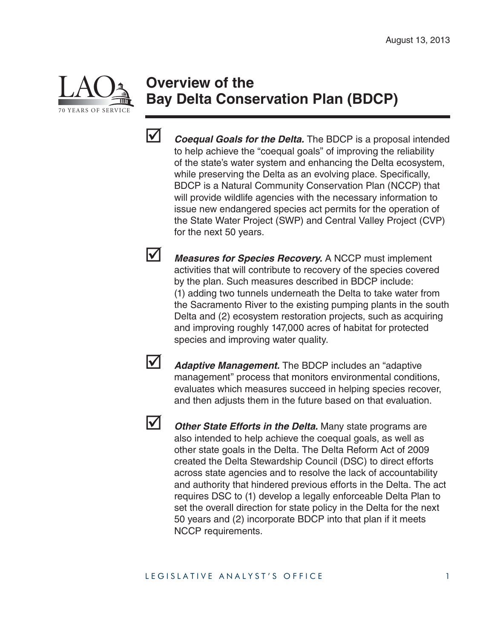

# **Overview of the Bay Delta Conservation Plan (BDCP)**



*Coequal Goals for the Delta.* The BDCP is a proposal intended to help achieve the "coequal goals" of improving the reliability of the state's water system and enhancing the Delta ecosystem, while preserving the Delta as an evolving place. Specifically, BDCP is a Natural Community Conservation Plan (NCCP) that will provide wildlife agencies with the necessary information to issue new endangered species act permits for the operation of the State Water Project (SWP) and Central Valley Project (CVP) for the next 50 years.

 *Measures for Species Recovery.* A NCCP must implement activities that will contribute to recovery of the species covered by the plan. Such measures described in BDCP include: (1) adding two tunnels underneath the Delta to take water from the Sacramento River to the existing pumping plants in the south Delta and (2) ecosystem restoration projects, such as acquiring and improving roughly 147,000 acres of habitat for protected species and improving water quality.



**Adaptive Management.** The BDCP includes an "adaptive" management" process that monitors environmental conditions, evaluates which measures succeed in helping species recover, and then adjusts them in the future based on that evaluation.



*Other State Efforts in the Delta.* Many state programs are also intended to help achieve the coequal goals, as well as other state goals in the Delta. The Delta Reform Act of 2009 created the Delta Stewardship Council (DSC) to direct efforts across state agencies and to resolve the lack of accountability and authority that hindered previous efforts in the Delta. The act requires DSC to (1) develop a legally enforceable Delta Plan to set the overall direction for state policy in the Delta for the next 50 years and (2) incorporate BDCP into that plan if it meets NCCP requirements.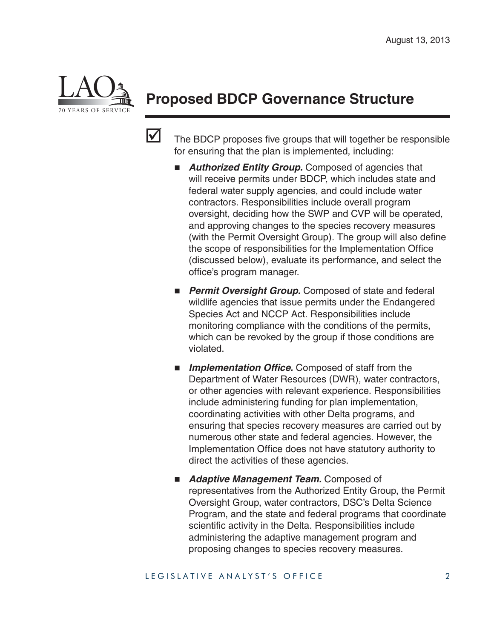

# **Proposed BDCP Governance Structure**



 $\triangledown$  The BDCP proposes five groups that will together be responsible for ensuring that the plan is implemented, including:

- *Authorized Entity Group.* Composed of agencies that will receive permits under BDCP, which includes state and federal water supply agencies, and could include water contractors. Responsibilities include overall program oversight, deciding how the SWP and CVP will be operated, and approving changes to the species recovery measures (with the Permit Oversight Group). The group will also define the scope of responsibilities for the Implementation Office (discussed below), evaluate its performance, and select the office's program manager.
- **Permit Oversight Group.** Composed of state and federal wildlife agencies that issue permits under the Endangered Species Act and NCCP Act. Responsibilities include monitoring compliance with the conditions of the permits, which can be revoked by the group if those conditions are violated.
- **Implementation Office.** Composed of staff from the Department of Water Resources (DWR), water contractors, or other agencies with relevant experience. Responsibilities include administering funding for plan implementation, coordinating activities with other Delta programs, and ensuring that species recovery measures are carried out by numerous other state and federal agencies. However, the Implementation Office does not have statutory authority to direct the activities of these agencies.
- **Adaptive Management Team.** Composed of representatives from the Authorized Entity Group, the Permit Oversight Group, water contractors, DSC's Delta Science Program, and the state and federal programs that coordinate scientific activity in the Delta. Responsibilities include administering the adaptive management program and proposing changes to species recovery measures.

#### LEGISLATIVE ANALYST'S OFFICE 2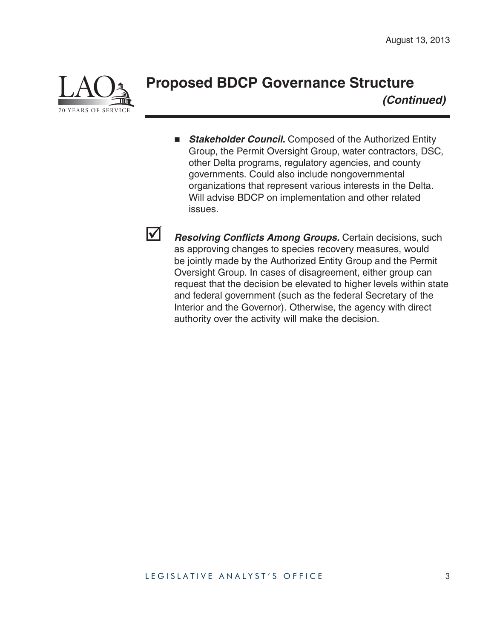

#### **Proposed BDCP Governance Structure** *(Continued)*

**E** Stakeholder Council. Composed of the Authorized Entity Group, the Permit Oversight Group, water contractors, DSC, other Delta programs, regulatory agencies, and county governments. Could also include nongovernmental organizations that represent various interests in the Delta. Will advise BDCP on implementation and other related issues.



**1** Resolving Conflicts Among Groups. Certain decisions, such as approving changes to species recovery measures, would be jointly made by the Authorized Entity Group and the Permit Oversight Group. In cases of disagreement, either group can request that the decision be elevated to higher levels within state and federal government (such as the federal Secretary of the Interior and the Governor). Otherwise, the agency with direct authority over the activity will make the decision.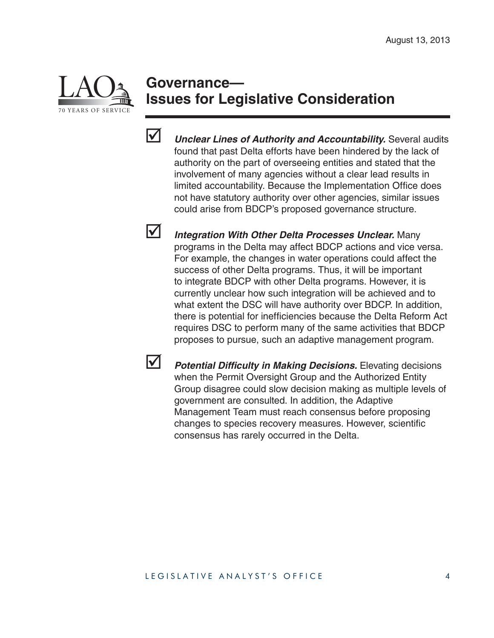

#### **Governance— Issues for Legislative Consideration**



 *Unclear Lines of Authority and Accountability.* Several audits found that past Delta efforts have been hindered by the lack of authority on the part of overseeing entities and stated that the involvement of many agencies without a clear lead results in limited accountability. Because the Implementation Office does not have statutory authority over other agencies, similar issues could arise from BDCP's proposed governance structure.

 *Integration With Other Delta Processes Unclear.* Many programs in the Delta may affect BDCP actions and vice versa. For example, the changes in water operations could affect the success of other Delta programs. Thus, it will be important to integrate BDCP with other Delta programs. However, it is currently unclear how such integration will be achieved and to what extent the DSC will have authority over BDCP. In addition, there is potential for inefficiencies because the Delta Reform Act requires DSC to perform many of the same activities that BDCP proposes to pursue, such an adaptive management program.

**1** *Potential Difficulty in Making Decisions.* Elevating decisions when the Permit Oversight Group and the Authorized Entity Group disagree could slow decision making as multiple levels of government are consulted. In addition, the Adaptive Management Team must reach consensus before proposing changes to species recovery measures. However, scientific consensus has rarely occurred in the Delta.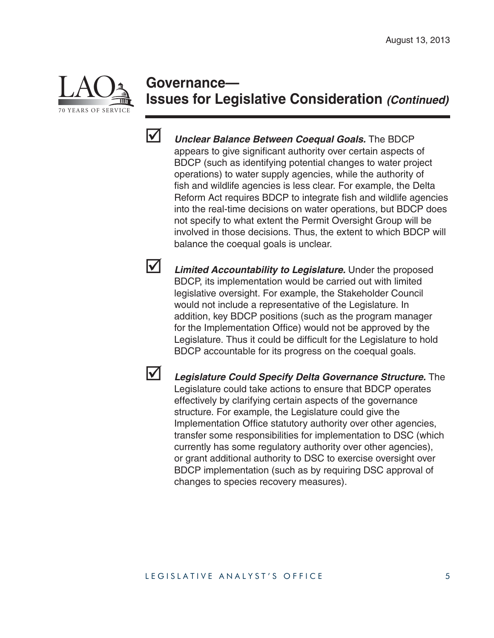

#### **Governance— Issues for Legislative Consideration** *(Continued)*



 *Unclear Balance Between Coequal Goals.* The BDCP appears to give significant authority over certain aspects of BDCP (such as identifying potential changes to water project operations) to water supply agencies, while the authority of fish and wildlife agencies is less clear. For example, the Delta Reform Act requires BDCP to integrate fish and wildlife agencies into the real-time decisions on water operations, but BDCP does not specify to what extent the Permit Oversight Group will be involved in those decisions. Thus, the extent to which BDCP will balance the coequal goals is unclear.

 *Limited Accountability to Legislature.* Under the proposed BDCP, its implementation would be carried out with limited legislative oversight. For example, the Stakeholder Council would not include a representative of the Legislature. In addition, key BDCP positions (such as the program manager for the Implementation Office) would not be approved by the Legislature. Thus it could be difficult for the Legislature to hold BDCP accountable for its progress on the coequal goals.

 *Legislature Could Specify Delta Governance Structure.* The Legislature could take actions to ensure that BDCP operates effectively by clarifying certain aspects of the governance structure. For example, the Legislature could give the Implementation Office statutory authority over other agencies, transfer some responsibilities for implementation to DSC (which currently has some regulatory authority over other agencies), or grant additional authority to DSC to exercise oversight over BDCP implementation (such as by requiring DSC approval of changes to species recovery measures).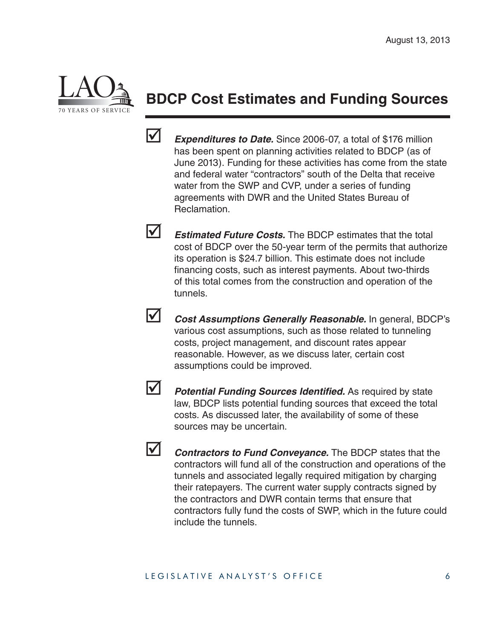

# **BDCP Cost Estimates and Funding Sources**



**Expenditures to Date.** Since 2006-07, a total of \$176 million has been spent on planning activities related to BDCP (as of June 2013). Funding for these activities has come from the state and federal water "contractors" south of the Delta that receive water from the SWP and CVP, under a series of funding agreements with DWR and the United States Bureau of Reclamation.

**Estimated Future Costs.** The BDCP estimates that the total cost of BDCP over the 50-year term of the permits that authorize its operation is \$24.7 billion. This estimate does not include financing costs, such as interest payments. About two-thirds of this total comes from the construction and operation of the tunnels.



 *Cost Assumptions Generally Reasonable.* In general, BDCP's various cost assumptions, such as those related to tunneling costs, project management, and discount rates appear reasonable. However, as we discuss later, certain cost assumptions could be improved.



*Potential Funding Sources Identified.* As required by state law, BDCP lists potential funding sources that exceed the total costs. As discussed later, the availability of some of these sources may be uncertain.



*Contractors to Fund Conveyance.* The BDCP states that the contractors will fund all of the construction and operations of the tunnels and associated legally required mitigation by charging their ratepayers. The current water supply contracts signed by the contractors and DWR contain terms that ensure that contractors fully fund the costs of SWP, which in the future could include the tunnels.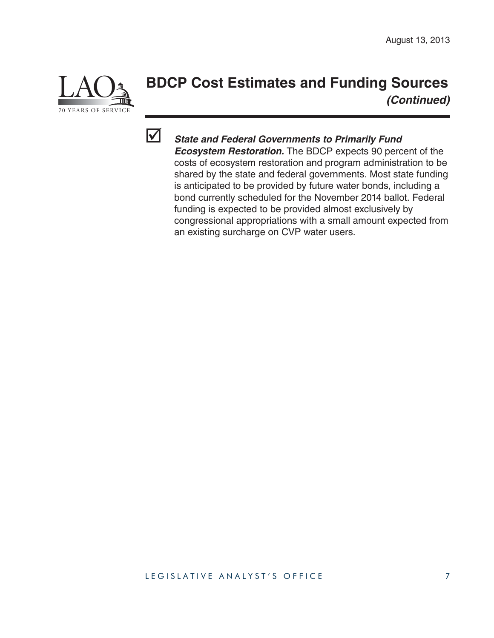

# **BDCP Cost Estimates and Funding Sources** *(Continued)*



# *State and Federal Governments to Primarily Fund*

*Ecosystem Restoration.* The BDCP expects 90 percent of the costs of ecosystem restoration and program administration to be shared by the state and federal governments. Most state funding is anticipated to be provided by future water bonds, including a bond currently scheduled for the November 2014 ballot. Federal funding is expected to be provided almost exclusively by congressional appropriations with a small amount expected from an existing surcharge on CVP water users.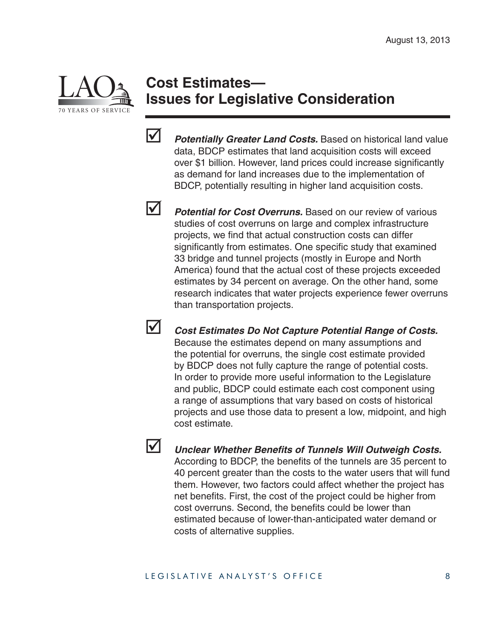

## **Cost Estimates— Issues for Legislative Consideration**



 *Potentially Greater Land Costs.* Based on historical land value data, BDCP estimates that land acquisition costs will exceed over \$1 billion. However, land prices could increase significantly as demand for land increases due to the implementation of BDCP, potentially resulting in higher land acquisition costs.



**1** Potential for Cost Overruns. Based on our review of various studies of cost overruns on large and complex infrastructure projects, we find that actual construction costs can differ significantly from estimates. One specific study that examined 33 bridge and tunnel projects (mostly in Europe and North America) found that the actual cost of these projects exceeded estimates by 34 percent on average. On the other hand, some research indicates that water projects experience fewer overruns than transportation projects.



 *Cost Estimates Do Not Capture Potential Range of Costs.* Because the estimates depend on many assumptions and the potential for overruns, the single cost estimate provided by BDCP does not fully capture the range of potential costs. In order to provide more useful information to the Legislature and public, BDCP could estimate each cost component using a range of assumptions that vary based on costs of historical projects and use those data to present a low, midpoint, and high cost estimate.



**V** Unclear Whether Benefits of Tunnels Will Outweigh Costs. According to BDCP, the benefits of the tunnels are 35 percent to 40 percent greater than the costs to the water users that will fund them. However, two factors could affect whether the project has net benefits. First, the cost of the project could be higher from cost overruns. Second, the benefits could be lower than estimated because of lower-than-anticipated water demand or costs of alternative supplies.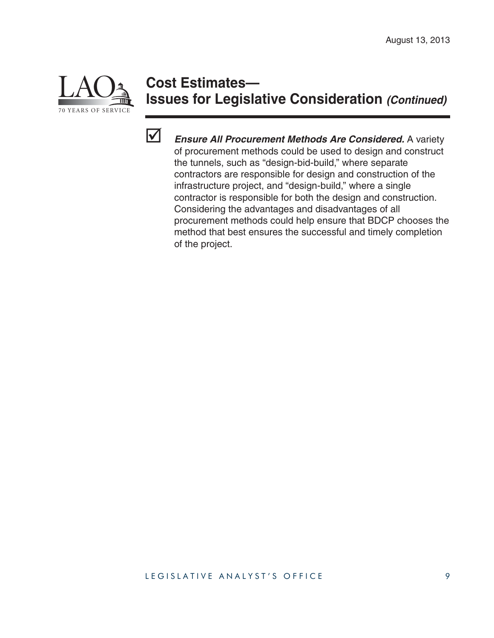

# **Cost Estimates— Issues for Legislative Consideration** *(Continued)*



 *Ensure All Procurement Methods Are Considered.* A variety of procurement methods could be used to design and construct the tunnels, such as "design-bid-build," where separate contractors are responsible for design and construction of the infrastructure project, and "design-build," where a single contractor is responsible for both the design and construction. Considering the advantages and disadvantages of all procurement methods could help ensure that BDCP chooses the method that best ensures the successful and timely completion of the project.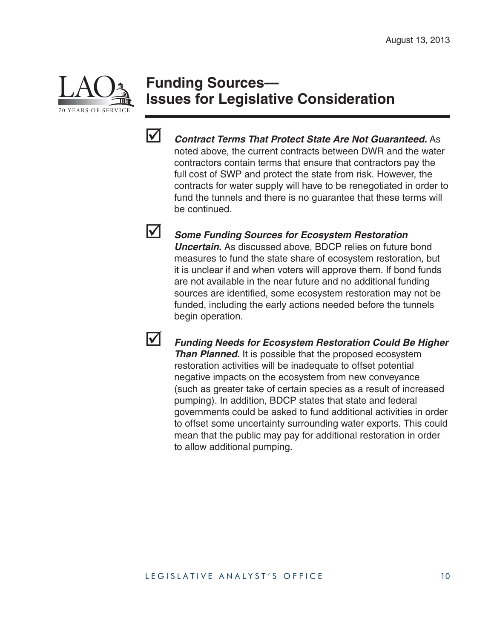

## **Funding Sources— Issues for Legislative Consideration**



 *Contract Terms That Protect State Are Not Guaranteed.* As noted above, the current contracts between DWR and the water contractors contain terms that ensure that contractors pay the full cost of SWP and protect the state from risk. However, the contracts for water supply will have to be renegotiated in order to fund the tunnels and there is no guarantee that these terms will be continued.

 *Some Funding Sources for Ecosystem Restoration Uncertain.* As discussed above, BDCP relies on future bond measures to fund the state share of ecosystem restoration, but it is unclear if and when voters will approve them. If bond funds are not available in the near future and no additional funding sources are identified, some ecosystem restoration may not be funded, including the early actions needed before the tunnels begin operation.

 *Funding Needs for Ecosystem Restoration Could Be Higher Than Planned.* It is possible that the proposed ecosystem restoration activities will be inadequate to offset potential negative impacts on the ecosystem from new conveyance (such as greater take of certain species as a result of increased pumping). In addition, BDCP states that state and federal governments could be asked to fund additional activities in order to offset some uncertainty surrounding water exports. This could mean that the public may pay for additional restoration in order to allow additional pumping.